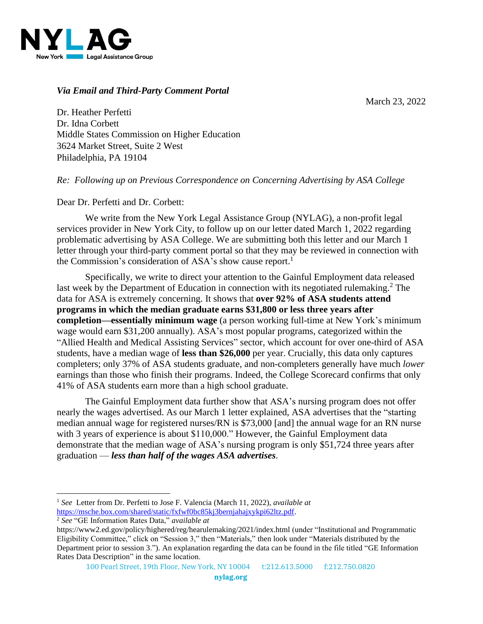

## *Via Email and Third-Party Comment Portal*

March 23, 2022

Dr. Heather Perfetti Dr. Idna Corbett Middle States Commission on Higher Education 3624 Market Street, Suite 2 West Philadelphia, PA 19104

*Re: Following up on Previous Correspondence on Concerning Advertising by ASA College*

Dear Dr. Perfetti and Dr. Corbett:

We write from the New York Legal Assistance Group (NYLAG), a non-profit legal services provider in New York City, to follow up on our letter dated March 1, 2022 regarding problematic advertising by ASA College. We are submitting both this letter and our March 1 letter through your third-party comment portal so that they may be reviewed in connection with the Commission's consideration of ASA's show cause report.<sup>1</sup>

Specifically, we write to direct your attention to the Gainful Employment data released last week by the Department of Education in connection with its negotiated rulemaking.<sup>2</sup> The data for ASA is extremely concerning. It shows that **over 92% of ASA students attend programs in which the median graduate earns \$31,800 or less three years after completion—essentially minimum wage** (a person working full-time at New York's minimum wage would earn \$31,200 annually). ASA's most popular programs, categorized within the "Allied Health and Medical Assisting Services" sector, which account for over one-third of ASA students, have a median wage of **less than \$26,000** per year. Crucially, this data only captures completers; only 37% of ASA students graduate, and non-completers generally have much *lower* earnings than those who finish their programs. Indeed, the College Scorecard confirms that only 41% of ASA students earn more than a high school graduate.

The Gainful Employment data further show that ASA's nursing program does not offer nearly the wages advertised. As our March 1 letter explained, ASA advertises that the "starting median annual wage for registered nurses/RN is \$73,000 [and] the annual wage for an RN nurse with 3 years of experience is about \$110,000." However, the Gainful Employment data demonstrate that the median wage of ASA's nursing program is only \$51,724 three years after graduation — *less than half of the wages ASA advertises*.

<sup>2</sup> *See* "GE Information Rates Data," *available at* 

<sup>1</sup> *See* Letter from Dr. Perfetti to Jose F. Valencia (March 11, 2022), *available at*  [https://msche.box.com/shared/static/fxfwf0bc85kj3bernjahajxykpi62ltz.pdf.](https://msche.box.com/shared/static/fxfwf0bc85kj3bernjahajxykpi62ltz.pdf) 

https://www2.ed.gov/policy/highered/reg/hearulemaking/2021/index.html (under "Institutional and Programmatic Eligibility Committee," click on "Session 3," then "Materials," then look under "Materials distributed by the Department prior to session 3."). An explanation regarding the data can be found in the file titled "GE Information Rates Data Description" in the same location.